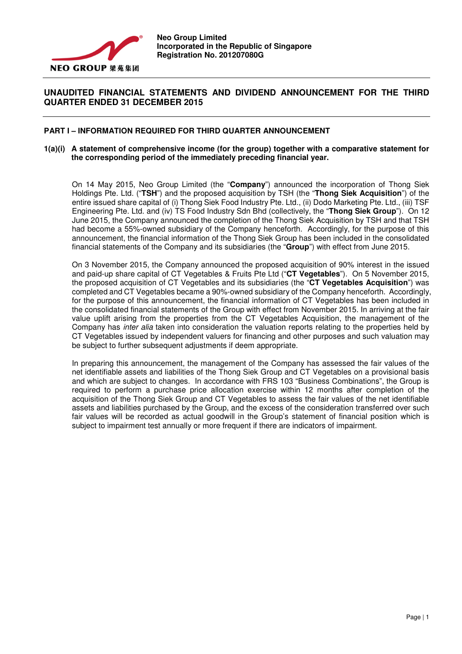

# **UNAUDITED FINANCIAL STATEMENTS AND DIVIDEND ANNOUNCEMENT FOR THE THIRD QUARTER ENDED 31 DECEMBER 2015**

# **PART I – INFORMATION REQUIRED FOR THIRD QUARTER ANNOUNCEMENT**

# **1(a)(i) A statement of comprehensive income (for the group) together with a comparative statement for the corresponding period of the immediately preceding financial year.**

On 14 May 2015, Neo Group Limited (the "**Company**") announced the incorporation of Thong Siek Holdings Pte. Ltd. ("**TSH**") and the proposed acquisition by TSH (the "**Thong Siek Acquisition**") of the entire issued share capital of (i) Thong Siek Food Industry Pte. Ltd., (ii) Dodo Marketing Pte. Ltd., (iii) TSF Engineering Pte. Ltd. and (iv) TS Food Industry Sdn Bhd (collectively, the "**Thong Siek Group**"). On 12 June 2015, the Company announced the completion of the Thong Siek Acquisition by TSH and that TSH had become a 55%-owned subsidiary of the Company henceforth. Accordingly, for the purpose of this announcement, the financial information of the Thong Siek Group has been included in the consolidated financial statements of the Company and its subsidiaries (the "**Group**") with effect from June 2015.

On 3 November 2015, the Company announced the proposed acquisition of 90% interest in the issued and paid-up share capital of CT Vegetables & Fruits Pte Ltd ("**CT Vegetables**"). On 5 November 2015, the proposed acquisition of CT Vegetables and its subsidiaries (the "**CT Vegetables Acquisition**") was completed and CT Vegetables became a 90%-owned subsidiary of the Company henceforth. Accordingly, for the purpose of this announcement, the financial information of CT Vegetables has been included in the consolidated financial statements of the Group with effect from November 2015. In arriving at the fair value uplift arising from the properties from the CT Vegetables Acquisition, the management of the Company has inter alia taken into consideration the valuation reports relating to the properties held by CT Vegetables issued by independent valuers for financing and other purposes and such valuation may be subject to further subsequent adjustments if deem appropriate.

In preparing this announcement, the management of the Company has assessed the fair values of the net identifiable assets and liabilities of the Thong Siek Group and CT Vegetables on a provisional basis and which are subject to changes. In accordance with FRS 103 "Business Combinations", the Group is required to perform a purchase price allocation exercise within 12 months after completion of the acquisition of the Thong Siek Group and CT Vegetables to assess the fair values of the net identifiable assets and liabilities purchased by the Group, and the excess of the consideration transferred over such fair values will be recorded as actual goodwill in the Group's statement of financial position which is subject to impairment test annually or more frequent if there are indicators of impairment.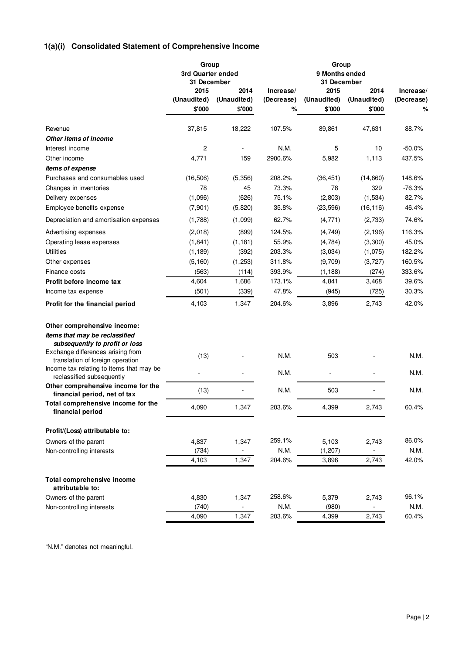# **1(a)(i) Consolidated Statement of Comprehensive Income**

|                                                                              | Group<br>3rd Quarter ended<br>31 December |                          | Group<br>9 Months ended<br>31 December |                     |                     |                         |
|------------------------------------------------------------------------------|-------------------------------------------|--------------------------|----------------------------------------|---------------------|---------------------|-------------------------|
|                                                                              | 2015<br>(Unaudited)                       | 2014<br>(Unaudited)      | Increase/<br>(Decrease)                | 2015<br>(Unaudited) | 2014<br>(Unaudited) | Increase/<br>(Decrease) |
|                                                                              | \$'000                                    | \$'000                   | %                                      | \$'000              | \$'000              | %                       |
| Revenue                                                                      | 37,815                                    | 18,222                   | 107.5%                                 | 89,861              | 47,631              | 88.7%                   |
| Other items of income                                                        |                                           |                          |                                        |                     |                     |                         |
| Interest income                                                              | 2                                         |                          | N.M.                                   | 5                   | 10                  | $-50.0%$                |
| Other income                                                                 | 4,771                                     | 159                      | 2900.6%                                | 5,982               | 1,113               | 437.5%                  |
| <i><b>Items of expense</b></i>                                               |                                           |                          |                                        |                     |                     |                         |
| Purchases and consumables used                                               | (16, 506)                                 | (5,356)                  | 208.2%                                 | (36, 451)           | (14,660)            | 148.6%                  |
| Changes in inventories                                                       | 78                                        | 45                       | 73.3%                                  | 78                  | 329                 | $-76.3%$                |
| Delivery expenses                                                            | (1,096)                                   | (626)                    | 75.1%                                  | (2,803)             | (1, 534)            | 82.7%                   |
| Employee benefits expense                                                    | (7, 901)                                  | (5,820)                  | 35.8%                                  | (23, 596)           | (16, 116)           | 46.4%                   |
| Depreciation and amortisation expenses                                       | (1,788)                                   | (1,099)                  | 62.7%                                  | (4, 771)            | (2,733)             | 74.6%                   |
| Advertising expenses                                                         | (2,018)                                   | (899)                    | 124.5%                                 | (4,749)             | (2, 196)            | 116.3%                  |
| Operating lease expenses                                                     | (1, 841)                                  | (1, 181)                 | 55.9%                                  | (4,784)             | (3,300)             | 45.0%                   |
| <b>Utilities</b>                                                             | (1, 189)                                  | (392)                    | 203.3%                                 | (3,034)             | (1,075)             | 182.2%                  |
| Other expenses                                                               | (5, 160)                                  | (1, 253)                 | 311.8%                                 | (9,709)             | (3, 727)            | 160.5%                  |
| Finance costs                                                                | (563)                                     | (114)                    | 393.9%                                 | (1, 188)            | (274)               | 333.6%                  |
| Profit before income tax                                                     | 4,604                                     | 1,686                    | 173.1%                                 | 4,841               | 3,468               | 39.6%                   |
| Income tax expense                                                           | (501)                                     | (339)                    | 47.8%                                  | (945)               | (725)               | 30.3%                   |
| Profit for the financial period                                              | 4,103                                     | 1,347                    | 204.6%                                 | 3,896               | 2,743               | 42.0%                   |
| Other comprehensive income:                                                  |                                           |                          |                                        |                     |                     |                         |
| Items that may be reclassified                                               |                                           |                          |                                        |                     |                     |                         |
| subsequently to profit or loss                                               |                                           |                          |                                        |                     |                     |                         |
| Exchange differences arising from                                            | (13)                                      |                          | N.M.                                   | 503                 |                     | N.M.                    |
| translation of foreign operation<br>Income tax relating to items that may be |                                           |                          |                                        |                     |                     |                         |
| reclassified subsequently                                                    |                                           |                          | N.M.                                   |                     |                     | N.M.                    |
| Other comprehensive income for the<br>financial period, net of tax           | (13)                                      |                          | N.M.                                   | 503                 |                     | N.M.                    |
| Total comprehensive income for the<br>financial period                       | 4,090                                     | 1,347                    | 203.6%                                 | 4,399               | 2,743               | 60.4%                   |
| Profit/(Loss) attributable to:                                               |                                           |                          |                                        |                     |                     |                         |
| Owners of the parent                                                         | 4,837                                     | 1,347                    | 259.1%                                 | 5,103               | 2,743               | 86.0%                   |
| Non-controlling interests                                                    | (734)                                     | $\blacksquare$           | N.M.                                   | (1, 207)            |                     | N.M.                    |
|                                                                              | 4,103                                     | 1,347                    | 204.6%                                 | 3,896               | 2,743               | 42.0%                   |
| Total comprehensive income                                                   |                                           |                          |                                        |                     |                     |                         |
| attributable to:                                                             |                                           |                          |                                        |                     |                     |                         |
| Owners of the parent                                                         | 4,830                                     | 1,347                    | 258.6%                                 | 5,379               | 2,743               | 96.1%                   |
| Non-controlling interests                                                    | (740)                                     | $\overline{\phantom{a}}$ | N.M.                                   | (980)               | ÷                   | N.M.                    |
|                                                                              | 4,090                                     | 1,347                    | 203.6%                                 | 4,399               | 2,743               | 60.4%                   |

"N.M." denotes not meaningful.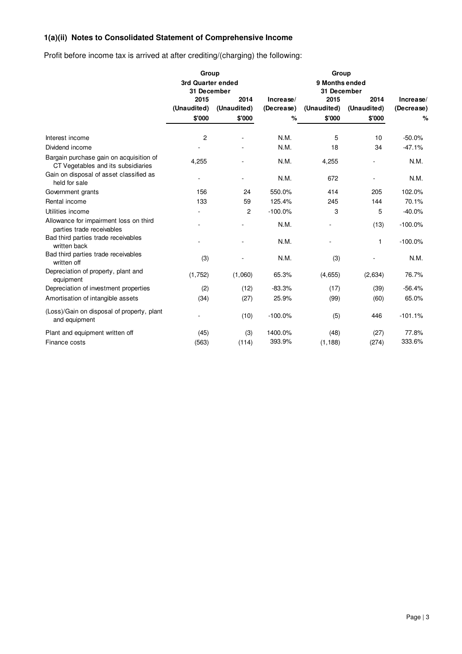# **1(a)(ii) Notes to Consolidated Statement of Comprehensive Income**

Profit before income tax is arrived at after crediting/(charging) the following:

|                                                                               | Group                            |                     |                         |                               |                     |                         |
|-------------------------------------------------------------------------------|----------------------------------|---------------------|-------------------------|-------------------------------|---------------------|-------------------------|
|                                                                               | 3rd Quarter ended<br>31 December |                     |                         | 9 Months ended<br>31 December |                     |                         |
|                                                                               | 2015<br>(Unaudited)              | 2014<br>(Unaudited) | Increase/<br>(Decrease) | 2015<br>(Unaudited)           | 2014<br>(Unaudited) | Increase/<br>(Decrease) |
|                                                                               | \$'000                           | \$'000              | %                       | \$'000                        | \$'000              | %                       |
| Interest income                                                               | $\overline{c}$                   |                     | N.M.                    | 5                             | 10                  | $-50.0%$                |
| Dividend income                                                               |                                  |                     | N.M.                    | 18                            | 34                  | $-47.1%$                |
| Bargain purchase gain on acquisition of<br>CT Vegetables and its subsidiaries | 4,255                            |                     | N.M.                    | 4,255                         |                     | N.M.                    |
| Gain on disposal of asset classified as<br>held for sale                      |                                  |                     | N.M.                    | 672                           |                     | N.M.                    |
| Government grants                                                             | 156                              | 24                  | 550.0%                  | 414                           | 205                 | 102.0%                  |
| Rental income                                                                 | 133                              | 59                  | 125.4%                  | 245                           | 144                 | 70.1%                   |
| Utilities income                                                              |                                  | $\overline{c}$      | $-100.0%$               | 3                             | 5                   | $-40.0%$                |
| Allowance for impairment loss on third<br>parties trade receivables           |                                  |                     | N.M.                    |                               | (13)                | $-100.0%$               |
| Bad third parties trade receivables<br>written back                           |                                  |                     | N.M.                    |                               | 1                   | $-100.0%$               |
| Bad third parties trade receivables<br>written off                            | (3)                              |                     | N.M.                    | (3)                           |                     | N.M.                    |
| Depreciation of property, plant and<br>equipment                              | (1,752)                          | (1,060)             | 65.3%                   | (4,655)                       | (2,634)             | 76.7%                   |
| Depreciation of investment properties                                         | (2)                              | (12)                | $-83.3%$                | (17)                          | (39)                | $-56.4%$                |
| Amortisation of intangible assets                                             | (34)                             | (27)                | 25.9%                   | (99)                          | (60)                | 65.0%                   |
| (Loss)/Gain on disposal of property, plant<br>and equipment                   |                                  | (10)                | $-100.0%$               | (5)                           | 446                 | $-101.1%$               |
| Plant and equipment written off                                               | (45)                             | (3)                 | 1400.0%                 | (48)                          | (27)                | 77.8%                   |
| Finance costs                                                                 | (563)                            | (114)               | 393.9%                  | (1, 188)                      | (274)               | 333.6%                  |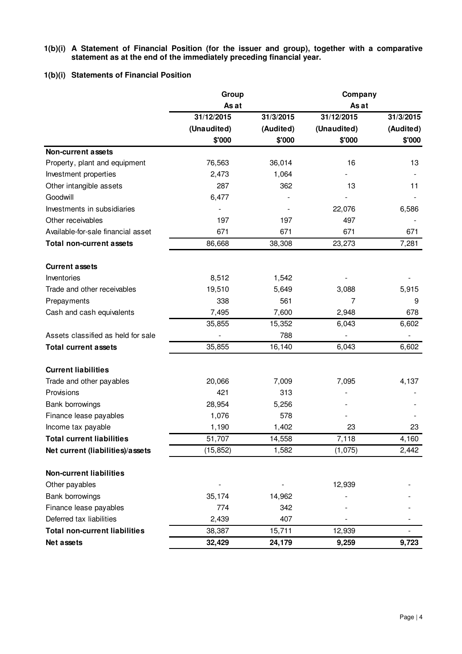# **1(b)(i) A Statement of Financial Position (for the issuer and group), together with a comparative statement as at the end of the immediately preceding financial year.**

# **1(b)(i) Statements of Financial Position**

|                                      | Group       |           | Company     |           |  |  |
|--------------------------------------|-------------|-----------|-------------|-----------|--|--|
|                                      | As at       |           | As at       |           |  |  |
|                                      | 31/12/2015  | 31/3/2015 | 31/12/2015  | 31/3/2015 |  |  |
|                                      | (Unaudited) | (Audited) | (Unaudited) | (Audited) |  |  |
|                                      | \$'000      | \$'000    | \$'000      | \$'000    |  |  |
| <b>Non-current assets</b>            |             |           |             |           |  |  |
| Property, plant and equipment        | 76,563      | 36,014    | 16          | 13        |  |  |
| Investment properties                | 2,473       | 1,064     |             |           |  |  |
| Other intangible assets              | 287         | 362       | 13          | 11        |  |  |
| Goodwill                             | 6,477       |           |             |           |  |  |
| Investments in subsidiaries          |             |           | 22,076      | 6,586     |  |  |
| Other receivables                    | 197         | 197       | 497         |           |  |  |
| Available-for-sale financial asset   | 671         | 671       | 671         | 671       |  |  |
| <b>Total non-current assets</b>      | 86,668      | 38,308    | 23,273      | 7,281     |  |  |
| <b>Current assets</b>                |             |           |             |           |  |  |
| Inventories                          | 8,512       | 1,542     |             |           |  |  |
| Trade and other receivables          | 19,510      | 5,649     | 3,088       | 5,915     |  |  |
| Prepayments                          | 338         | 561       | 7           | 9         |  |  |
| Cash and cash equivalents            | 7,495       | 7,600     | 2,948       | 678       |  |  |
|                                      | 35,855      | 15,352    | 6,043       | 6,602     |  |  |
| Assets classified as held for sale   |             | 788       |             |           |  |  |
| <b>Total current assets</b>          | 35,855      | 16,140    | 6,043       | 6,602     |  |  |
| <b>Current liabilities</b>           |             |           |             |           |  |  |
| Trade and other payables             | 20,066      | 7,009     | 7,095       | 4,137     |  |  |
| Provisions                           | 421         | 313       |             |           |  |  |
| Bank borrowings                      | 28,954      | 5,256     |             |           |  |  |
| Finance lease payables               | 1,076       | 578       |             |           |  |  |
| Income tax payable                   | 1,190       | 1,402     | 23          | 23        |  |  |
| <b>Total current liabilities</b>     | 51,707      | 14,558    | 7,118       | 4,160     |  |  |
| Net current (liabilities)/assets     | (15, 852)   | 1,582     | (1,075)     | 2,442     |  |  |
| <b>Non-current liabilities</b>       |             |           |             |           |  |  |
| Other payables                       |             |           | 12,939      |           |  |  |
| Bank borrowings                      | 35,174      | 14,962    |             |           |  |  |
| Finance lease payables               | 774         | 342       |             |           |  |  |
| Deferred tax liabilities             | 2,439       | 407       |             |           |  |  |
| <b>Total non-current liabilities</b> | 38,387      | 15,711    | 12,939      |           |  |  |
| Net assets                           | 32,429      | 24,179    | 9,259       | 9,723     |  |  |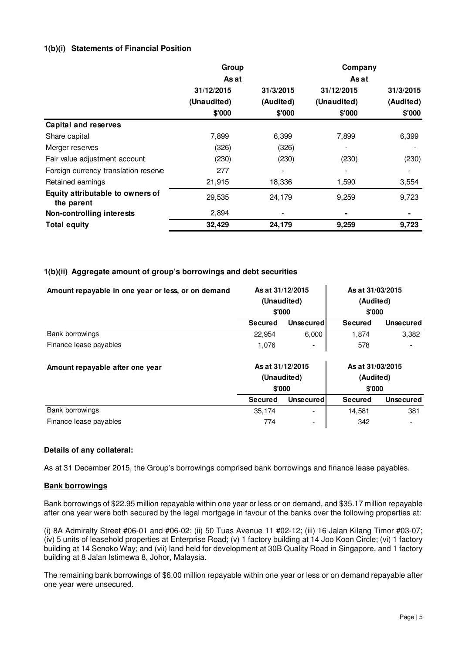# **1(b)(i) Statements of Financial Position**

|                                                | Group       |           | Company     |           |
|------------------------------------------------|-------------|-----------|-------------|-----------|
|                                                | As at       |           | As at       |           |
|                                                | 31/12/2015  | 31/3/2015 | 31/12/2015  | 31/3/2015 |
|                                                | (Unaudited) | (Audited) | (Unaudited) | (Audited) |
|                                                | \$'000      | \$'000    | \$'000      | \$'000    |
| <b>Capital and reserves</b>                    |             |           |             |           |
| Share capital                                  | 7,899       | 6,399     | 7,899       | 6,399     |
| Merger reserves                                | (326)       | (326)     |             |           |
| Fair value adjustment account                  | (230)       | (230)     | (230)       | (230)     |
| Foreign currency translation reserve           | 277         |           |             |           |
| Retained earnings                              | 21,915      | 18,336    | 1,590       | 3,554     |
| Equity attributable to owners of<br>the parent | 29,535      | 24,179    | 9,259       | 9,723     |
| Non-controlling interests                      | 2,894       |           |             |           |
| <b>Total equity</b>                            | 32,429      | 24,179    | 9,259       | 9,723     |

# **1(b)(ii) Aggregate amount of group's borrowings and debt securities**

| Amount repayable in one year or less, or on demand | As at 31/12/2015<br>(Unaudited)<br>\$'000 |             | As at 31/03/2015<br>(Audited)<br>\$'000 |                  |  |
|----------------------------------------------------|-------------------------------------------|-------------|-----------------------------------------|------------------|--|
|                                                    | <b>Secured</b>                            | Unsecured   | Secured                                 | <b>Unsecured</b> |  |
| <b>Bank borrowings</b>                             | 22,954                                    | 6,000       | 1,874                                   | 3,382            |  |
| Finance lease payables                             | 1,076                                     |             | 578                                     |                  |  |
| Amount repayable after one year                    | As at 31/12/2015                          |             | As at 31/03/2015                        |                  |  |
|                                                    |                                           | (Unaudited) | (Audited)                               |                  |  |
|                                                    | \$'000                                    |             | \$'000                                  |                  |  |
|                                                    | <b>Secured</b>                            | Unsecured   | <b>Secured</b>                          | <b>Unsecured</b> |  |
| Bank borrowings                                    | 35,174                                    | ۰           | 14,581                                  | 381              |  |
| Finance lease payables                             | 774                                       | -           | 342                                     |                  |  |

# **Details of any collateral:**

As at 31 December 2015, the Group's borrowings comprised bank borrowings and finance lease payables.

# **Bank borrowings**

Bank borrowings of \$22.95 million repayable within one year or less or on demand, and \$35.17 million repayable after one year were both secured by the legal mortgage in favour of the banks over the following properties at:

(i) 8A Admiralty Street #06-01 and #06-02; (ii) 50 Tuas Avenue 11 #02-12; (iii) 16 Jalan Kilang Timor #03-07; (iv) 5 units of leasehold properties at Enterprise Road; (v) 1 factory building at 14 Joo Koon Circle; (vi) 1 factory building at 14 Senoko Way; and (vii) land held for development at 30B Quality Road in Singapore, and 1 factory building at 8 Jalan Istimewa 8, Johor, Malaysia.

The remaining bank borrowings of \$6.00 million repayable within one year or less or on demand repayable after one year were unsecured.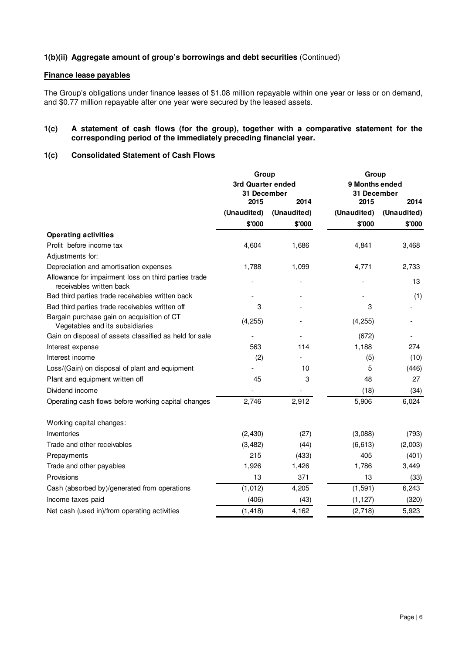# **1(b)(ii) Aggregate amount of group's borrowings and debt securities** (Continued)

# **Finance lease payables**

The Group's obligations under finance leases of \$1.08 million repayable within one year or less or on demand, and \$0.77 million repayable after one year were secured by the leased assets.

## **1(c) A statement of cash flows (for the group), together with a comparative statement for the corresponding period of the immediately preceding financial year.**

# **1(c) Consolidated Statement of Cash Flows**

|                                                                                  | Group                                    |             | Group                                 |             |  |  |
|----------------------------------------------------------------------------------|------------------------------------------|-------------|---------------------------------------|-------------|--|--|
|                                                                                  | 3rd Quarter ended<br>31 December<br>2015 | 2014        | 9 Months ended<br>31 December<br>2015 | 2014        |  |  |
|                                                                                  | (Unaudited)                              | (Unaudited) | (Unaudited)                           | (Unaudited) |  |  |
|                                                                                  | \$'000                                   | \$'000      | \$'000                                | \$'000      |  |  |
| <b>Operating activities</b>                                                      |                                          |             |                                       |             |  |  |
| Profit before income tax                                                         | 4,604                                    | 1,686       | 4,841                                 | 3,468       |  |  |
| Adjustments for:                                                                 |                                          |             |                                       |             |  |  |
| Depreciation and amortisation expenses                                           | 1,788                                    | 1,099       | 4,771                                 | 2,733       |  |  |
| Allowance for impairment loss on third parties trade<br>receivables written back |                                          |             |                                       | 13          |  |  |
| Bad third parties trade receivables written back                                 |                                          |             |                                       | (1)         |  |  |
| Bad third parties trade receivables written off                                  | 3                                        |             | 3                                     |             |  |  |
| Bargain purchase gain on acquisition of CT<br>Vegetables and its subsidiaries    | (4, 255)                                 |             | (4, 255)                              |             |  |  |
| Gain on disposal of assets classified as held for sale                           |                                          |             | (672)                                 |             |  |  |
| Interest expense                                                                 | 563                                      | 114         | 1,188                                 | 274         |  |  |
| Interest income                                                                  | (2)                                      |             | (5)                                   | (10)        |  |  |
| Loss/(Gain) on disposal of plant and equipment                                   |                                          | 10          | 5                                     | (446)       |  |  |
| Plant and equipment written off                                                  | 45                                       | 3           | 48                                    | 27          |  |  |
| Dividend income                                                                  |                                          |             | (18)                                  | (34)        |  |  |
| Operating cash flows before working capital changes                              | 2,746                                    | 2,912       | 5,906                                 | 6,024       |  |  |
| Working capital changes:                                                         |                                          |             |                                       |             |  |  |
| Inventories                                                                      | (2, 430)                                 | (27)        | (3,088)                               | (793)       |  |  |
| Trade and other receivables                                                      | (3, 482)                                 | (44)        | (6, 613)                              | (2,003)     |  |  |
| Prepayments                                                                      | 215                                      | (433)       | 405                                   | (401)       |  |  |
| Trade and other payables                                                         | 1,926                                    | 1,426       | 1,786                                 | 3,449       |  |  |
| Provisions                                                                       | 13                                       | 371         | 13                                    | (33)        |  |  |
| Cash (absorbed by)/generated from operations                                     | (1,012)                                  | 4,205       | (1, 591)                              | 6,243       |  |  |
| Income taxes paid                                                                | (406)                                    | (43)        | (1, 127)                              | (320)       |  |  |
| Net cash (used in)/from operating activities                                     | (1, 418)                                 | 4,162       | (2,718)                               | 5,923       |  |  |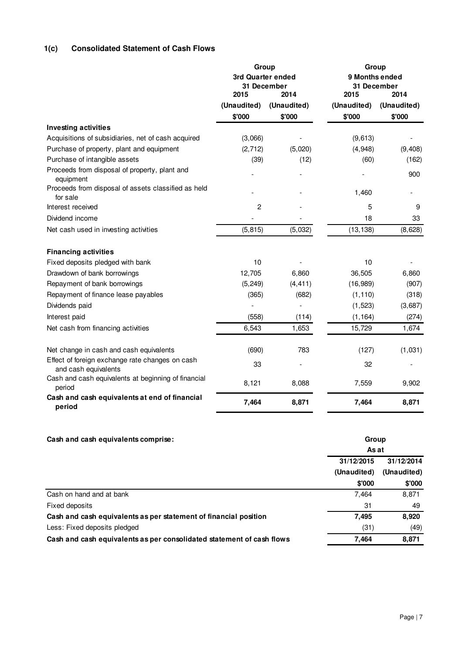# **1(c) Consolidated Statement of Cash Flows**

|                                                                         | Group                            |             | Group          |             |  |  |
|-------------------------------------------------------------------------|----------------------------------|-------------|----------------|-------------|--|--|
|                                                                         | 3rd Quarter ended<br>31 December |             | 9 Months ended | 31 December |  |  |
|                                                                         | 2015                             | 2014        | 2015           | 2014        |  |  |
|                                                                         | (Unaudited)                      | (Unaudited) | (Unaudited)    | (Unaudited) |  |  |
|                                                                         | \$'000                           | \$'000      | \$'000         | \$'000      |  |  |
| <b>Investing activities</b>                                             |                                  |             |                |             |  |  |
| Acquisitions of subsidiaries, net of cash acquired                      | (3,066)                          |             | (9,613)        |             |  |  |
| Purchase of property, plant and equipment                               | (2,712)                          | (5,020)     | (4,948)        | (9, 408)    |  |  |
| Purchase of intangible assets                                           | (39)                             | (12)        | (60)           | (162)       |  |  |
| Proceeds from disposal of property, plant and<br>equipment              |                                  |             |                | 900         |  |  |
| Proceeds from disposal of assets classified as held<br>for sale         |                                  |             | 1,460          |             |  |  |
| Interest received                                                       | $\overline{c}$                   |             | 5              | 9           |  |  |
| Dividend income                                                         |                                  |             | 18             | 33          |  |  |
| Net cash used in investing activities                                   | (5, 815)                         | (5,032)     | (13, 138)      | (8,628)     |  |  |
| <b>Financing activities</b>                                             |                                  |             |                |             |  |  |
| Fixed deposits pledged with bank                                        | 10                               |             | 10             |             |  |  |
| Drawdown of bank borrowings                                             | 12,705                           | 6,860       | 36,505         | 6,860       |  |  |
| Repayment of bank borrowings                                            | (5, 249)                         | (4, 411)    | (16, 989)      | (907)       |  |  |
| Repayment of finance lease payables                                     | (365)                            | (682)       | (1, 110)       | (318)       |  |  |
| Dividends paid                                                          |                                  |             | (1, 523)       | (3,687)     |  |  |
| Interest paid                                                           | (558)                            | (114)       | (1, 164)       | (274)       |  |  |
| Net cash from financing activities                                      | 6,543                            | 1,653       | 15,729         | 1,674       |  |  |
| Net change in cash and cash equivalents                                 | (690)                            | 783         | (127)          | (1,031)     |  |  |
| Effect of foreign exchange rate changes on cash<br>and cash equivalents | 33                               | L,          | 32             |             |  |  |
| Cash and cash equivalents at beginning of financial<br>period           | 8,121                            | 8,088       | 7,559          | 9,902       |  |  |
| Cash and cash equivalents at end of financial<br>period                 | 7,464                            | 8,871       | 7,464          | 8,871       |  |  |

# **Cash and cash equivalents comprise:**

|                                                                       | As at       |             |
|-----------------------------------------------------------------------|-------------|-------------|
|                                                                       | 31/12/2015  | 31/12/2014  |
|                                                                       | (Unaudited) | (Unaudited) |
|                                                                       | \$'000      | \$'000      |
| Cash on hand and at bank                                              | 7,464       | 8,871       |
| Fixed deposits                                                        | 31          | 49          |
| Cash and cash equivalents as per statement of financial position      | 7,495       | 8,920       |
| Less: Fixed deposits pledged                                          | (31)        | (49)        |
| Cash and cash equivalents as per consolidated statement of cash flows | 7.464       | 8,871       |

**Group**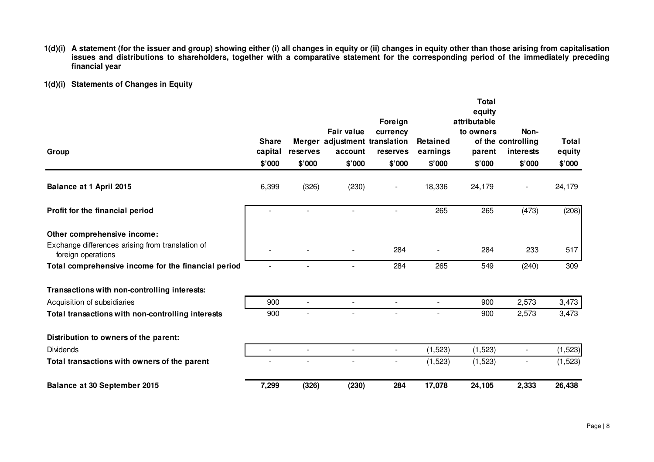- 1(d)(i) A statement (for the issuer and group) showing either (i) all changes in equity or (ii) changes in equity other than those arising from capitalisation<br>issues and distributions to shareholders, together with a compa **financial year**
- **1(d)(i) Statements of Changes in Equity**

|                                                                                                       |                                   |                    |                                                                         | Foreign                        |                                | Total<br>equity<br>attributable |                                                   |                           |
|-------------------------------------------------------------------------------------------------------|-----------------------------------|--------------------|-------------------------------------------------------------------------|--------------------------------|--------------------------------|---------------------------------|---------------------------------------------------|---------------------------|
| Group                                                                                                 | <b>Share</b><br>capital<br>\$'000 | reserves<br>\$'000 | <b>Fair value</b><br>Merger adjustment translation<br>account<br>\$'000 | currency<br>reserves<br>\$'000 | Retained<br>earnings<br>\$'000 | to owners<br>parent<br>\$'000   | Non-<br>of the controlling<br>interests<br>\$'000 | Total<br>equity<br>\$'000 |
| Balance at 1 April 2015                                                                               | 6,399                             | (326)              | (230)                                                                   |                                | 18,336                         | 24,179                          |                                                   | 24,179                    |
| Profit for the financial period                                                                       |                                   |                    |                                                                         |                                | 265                            | 265                             | (473)                                             | (208)                     |
| Other comprehensive income:<br>Exchange differences arising from translation of<br>foreign operations |                                   |                    |                                                                         | 284                            |                                | 284                             | 233                                               | 517                       |
| Total comprehensive income for the financial period                                                   |                                   | $\blacksquare$     | ÷                                                                       | 284                            | 265                            | 549                             | (240)                                             | 309                       |
| Transactions with non-controlling interests:                                                          |                                   |                    |                                                                         |                                |                                |                                 |                                                   |                           |
| Acquisition of subsidiaries                                                                           | 900                               | $\overline{a}$     |                                                                         |                                |                                | 900                             | 2,573                                             | 3,473                     |
| Total transactions with non-controlling interests                                                     | 900                               |                    |                                                                         |                                |                                | 900                             | 2,573                                             | 3,473                     |
| Distribution to owners of the parent:                                                                 |                                   |                    |                                                                         |                                |                                |                                 |                                                   |                           |
| <b>Dividends</b>                                                                                      | $\blacksquare$                    | $\overline{a}$     | $\overline{\phantom{0}}$                                                | $\blacksquare$                 | (1, 523)                       | (1, 523)                        |                                                   | (1, 523)                  |
| Total transactions with owners of the parent                                                          |                                   |                    |                                                                         |                                | (1,523)                        | (1, 523)                        |                                                   | (1, 523)                  |
| Balance at 30 September 2015                                                                          | 7,299                             | (326)              | (230)                                                                   | 284                            | 17,078                         | 24,105                          | 2,333                                             | 26,438                    |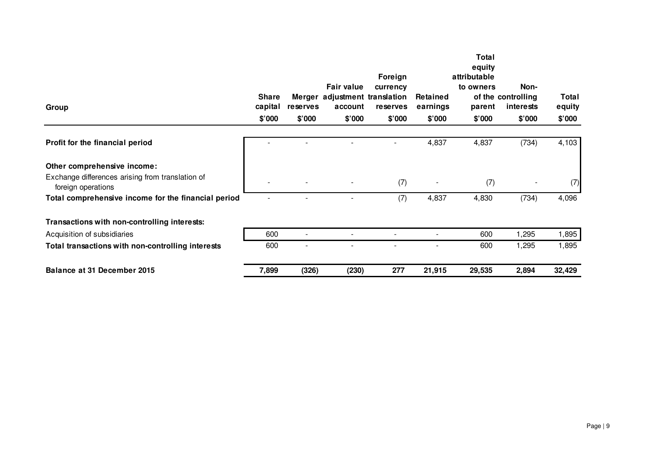|                                                                        |                         |                          |                                                               |                      |                      | Total                  |                                         |                        |
|------------------------------------------------------------------------|-------------------------|--------------------------|---------------------------------------------------------------|----------------------|----------------------|------------------------|-----------------------------------------|------------------------|
|                                                                        |                         |                          |                                                               | Foreign              |                      | equity<br>attributable |                                         |                        |
| Group                                                                  | <b>Share</b><br>capital | reserves                 | <b>Fair value</b><br>Merger adjustment translation<br>account | currency<br>reserves | Retained<br>earnings | to owners<br>parent    | Non-<br>of the controlling<br>interests | <b>Total</b><br>equity |
|                                                                        | \$'000                  | \$'000                   | \$'000                                                        | \$'000               | \$'000               | \$'000                 | \$'000                                  | \$'000                 |
| Profit for the financial period                                        |                         |                          |                                                               |                      | 4,837                | 4,837                  | (734)                                   | 4,103                  |
| Other comprehensive income:                                            |                         |                          |                                                               |                      |                      |                        |                                         |                        |
| Exchange differences arising from translation of<br>foreign operations |                         |                          |                                                               | (7)                  |                      | (7)                    |                                         | (7)                    |
| Total comprehensive income for the financial period                    |                         |                          |                                                               | (7)                  | 4,837                | 4,830                  | (734)                                   | 4,096                  |
| Transactions with non-controlling interests:                           |                         |                          |                                                               |                      |                      |                        |                                         |                        |
| Acquisition of subsidiaries                                            | 600                     | $\overline{\phantom{a}}$ |                                                               |                      |                      | 600                    | 1,295                                   | 1,895                  |
| Total transactions with non-controlling interests                      | 600                     |                          |                                                               |                      |                      | 600                    | 1,295                                   | 1,895                  |
| Balance at 31 December 2015                                            | 7,899                   | (326)                    | (230)                                                         | 277                  | 21,915               | 29,535                 | 2,894                                   | 32,429                 |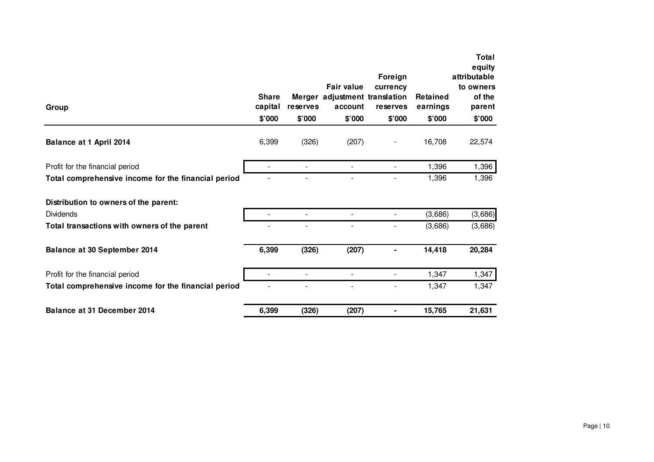| Group                                               | <b>Share</b><br>capital<br>\$'000 | reserves<br>\$'000       | <b>Fair value</b><br>Merger adjustment translation<br>account<br>\$'000 | Foreign<br>currency<br>reserves<br>\$'000 | <b>Retained</b><br>earnings<br>\$'000 | Total<br>equity<br>attributable<br>to owners<br>of the<br>parent<br>\$'000 |
|-----------------------------------------------------|-----------------------------------|--------------------------|-------------------------------------------------------------------------|-------------------------------------------|---------------------------------------|----------------------------------------------------------------------------|
| Balance at 1 April 2014                             | 6,399                             | (326)                    | (207)                                                                   |                                           | 16,708                                | 22,574                                                                     |
| Profit for the financial period                     | $\overline{a}$                    |                          | $\overline{\phantom{a}}$                                                |                                           | 1,396                                 | 1,396                                                                      |
| Total comprehensive income for the financial period |                                   |                          |                                                                         |                                           | 1,396                                 | 1,396                                                                      |
| Distribution to owners of the parent:               |                                   |                          |                                                                         |                                           |                                       |                                                                            |
| <b>Dividends</b>                                    |                                   |                          |                                                                         |                                           | (3,686)                               | (3,686)                                                                    |
| Total transactions with owners of the parent        |                                   |                          |                                                                         |                                           | (3,686)                               | (3,686)                                                                    |
| Balance at 30 September 2014                        | 6,399                             | (326)                    | (207)                                                                   |                                           | 14,418                                | 20,284                                                                     |
| Profit for the financial period                     | $\blacksquare$                    | $\overline{\phantom{a}}$ | $\blacksquare$                                                          | $\blacksquare$                            | 1,347                                 | 1,347                                                                      |
| Total comprehensive income for the financial period |                                   |                          |                                                                         |                                           | 1,347                                 | 1,347                                                                      |
| Balance at 31 December 2014                         | 6,399                             | (326)                    | (207)                                                                   |                                           | 15,765                                | 21,631                                                                     |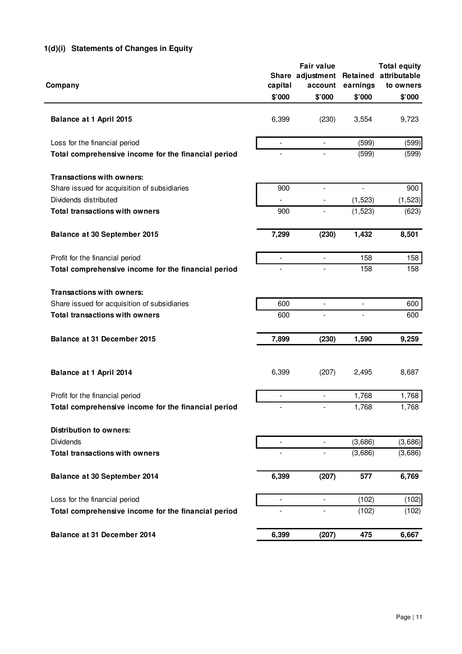# **1(d)(i) Statements of Changes in Equity**

|                                                     |                | <b>Fair value</b>        |                | <b>Total equity</b>   |
|-----------------------------------------------------|----------------|--------------------------|----------------|-----------------------|
|                                                     |                | Share adjustment         |                | Retained attributable |
| Company                                             | capital        | account                  | earnings       | to owners             |
|                                                     | \$'000         | \$'000                   | \$'000         | \$'000                |
| Balance at 1 April 2015                             | 6,399          | (230)                    | 3,554          | 9,723                 |
|                                                     |                |                          |                |                       |
| Loss for the financial period                       | $\blacksquare$ | $\overline{\phantom{a}}$ | (599)          | (599)                 |
| Total comprehensive income for the financial period |                |                          | (599)          | (599)                 |
| <b>Transactions with owners:</b>                    |                |                          |                |                       |
| Share issued for acquisition of subsidiaries        | 900            | $\overline{\phantom{a}}$ | $\overline{a}$ | 900                   |
| Dividends distributed                               |                |                          | (1,523)        | (1,523)               |
| <b>Total transactions with owners</b>               | 900            |                          | (1, 523)       | (623)                 |
| Balance at 30 September 2015                        | 7,299          | (230)                    | 1,432          | 8,501                 |
| Profit for the financial period                     | $\overline{a}$ | $\overline{\phantom{a}}$ | 158            | 158                   |
| Total comprehensive income for the financial period |                | $\overline{\phantom{a}}$ | 158            | 158                   |
| <b>Transactions with owners:</b>                    |                |                          |                |                       |
| Share issued for acquisition of subsidiaries        | 600            |                          |                | 600                   |
| <b>Total transactions with owners</b>               | 600            | $\frac{1}{2}$            | $\overline{a}$ | 600                   |
| Balance at 31 December 2015                         | 7,899          | (230)                    | 1,590          | 9,259                 |
| Balance at 1 April 2014                             | 6,399          | (207)                    | 2,495          | 8,687                 |
| Profit for the financial period                     | $\overline{a}$ | $\overline{a}$           | 1,768          | 1,768                 |
| Total comprehensive income for the financial period |                |                          | 1,768          | 1,768                 |
| <b>Distribution to owners:</b>                      |                |                          |                |                       |
| <b>Dividends</b>                                    | ÷,             | $\overline{a}$           | (3,686)        | (3,686)               |
| <b>Total transactions with owners</b>               |                |                          | (3,686)        | (3,686)               |
| Balance at 30 September 2014                        | 6,399          | (207)                    | 577            | 6,769                 |
| Loss for the financial period                       | $\blacksquare$ | $\overline{\phantom{a}}$ | (102)          | (102)                 |
| Total comprehensive income for the financial period |                | $\overline{\phantom{0}}$ | (102)          | (102)                 |
| Balance at 31 December 2014                         | 6,399          | (207)                    | 475            | 6,667                 |
|                                                     |                |                          |                |                       |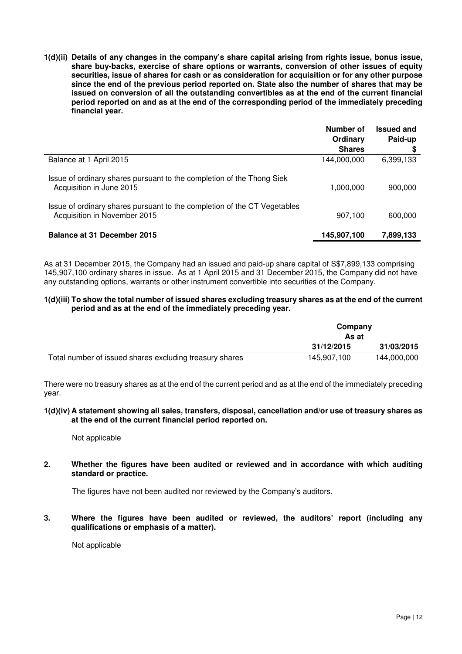**1(d)(ii) Details of any changes in the company's share capital arising from rights issue, bonus issue, share buy-backs, exercise of share options or warrants, conversion of other issues of equity securities, issue of shares for cash or as consideration for acquisition or for any other purpose since the end of the previous period reported on. State also the number of shares that may be issued on conversion of all the outstanding convertibles as at the end of the current financial period reported on and as at the end of the corresponding period of the immediately preceding financial year.** 

|                                                                                                          | Number of<br>Ordinary | <b>Issued and</b><br>Paid-up |
|----------------------------------------------------------------------------------------------------------|-----------------------|------------------------------|
|                                                                                                          | <b>Shares</b>         | S                            |
| Balance at 1 April 2015                                                                                  | 144,000,000           | 6,399,133                    |
| Issue of ordinary shares pursuant to the completion of the Thong Siek<br>Acquisition in June 2015        | 1,000,000             | 900,000                      |
| Issue of ordinary shares pursuant to the completion of the CT Vegetables<br>Acquisition in November 2015 | 907,100               | 600,000                      |
| <b>Balance at 31 December 2015</b>                                                                       | 145,907,100           | 7,899,133                    |

As at 31 December 2015, the Company had an issued and paid-up share capital of S\$7,899,133 comprising 145,907,100 ordinary shares in issue. As at 1 April 2015 and 31 December 2015, the Company did not have any outstanding options, warrants or other instrument convertible into securities of the Company.

### **1(d)(iii) To show the total number of issued shares excluding treasury shares as at the end of the current period and as at the end of the immediately preceding year.**

|                                                         | Company<br>As at |             |
|---------------------------------------------------------|------------------|-------------|
|                                                         | 31/12/2015       | 31/03/2015  |
| Total number of issued shares excluding treasury shares | 145,907,100      | 144,000,000 |

There were no treasury shares as at the end of the current period and as at the end of the immediately preceding year.

### **1(d)(iv) A statement showing all sales, transfers, disposal, cancellation and/or use of treasury shares as at the end of the current financial period reported on.**

# Not applicable

**2. Whether the figures have been audited or reviewed and in accordance with which auditing standard or practice.** 

The figures have not been audited nor reviewed by the Company's auditors.

**3. Where the figures have been audited or reviewed, the auditors' report (including any qualifications or emphasis of a matter).** 

Not applicable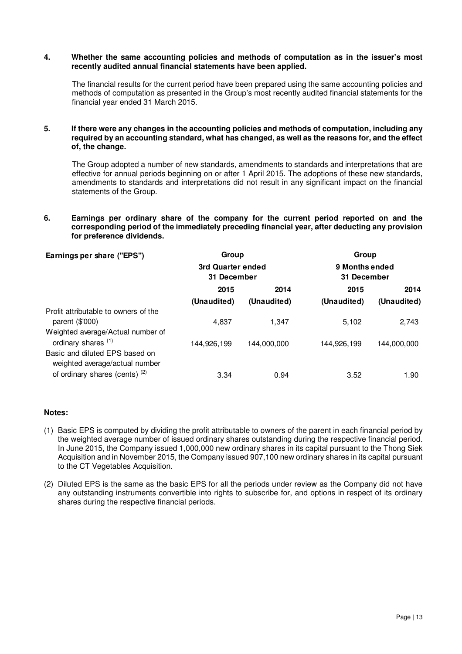### **4. Whether the same accounting policies and methods of computation as in the issuer's most recently audited annual financial statements have been applied.**

The financial results for the current period have been prepared using the same accounting policies and methods of computation as presented in the Group's most recently audited financial statements for the financial year ended 31 March 2015.

### **5. If there were any changes in the accounting policies and methods of computation, including any required by an accounting standard, what has changed, as well as the reasons for, and the effect of, the change.**

The Group adopted a number of new standards, amendments to standards and interpretations that are effective for annual periods beginning on or after 1 April 2015. The adoptions of these new standards, amendments to standards and interpretations did not result in any significant impact on the financial statements of the Group.

# **6. Earnings per ordinary share of the company for the current period reported on and the corresponding period of the immediately preceding financial year, after deducting any provision for preference dividends.**

| Earnings per share ("EPS")                                          | Group                            |             | Group                         |             |
|---------------------------------------------------------------------|----------------------------------|-------------|-------------------------------|-------------|
|                                                                     | 3rd Quarter ended<br>31 December |             | 9 Months ended<br>31 December |             |
|                                                                     | 2015                             | 2014        | 2015                          | 2014        |
|                                                                     | (Unaudited)                      | (Unaudited) | (Unaudited)                   | (Unaudited) |
| Profit attributable to owners of the<br>parent $(\$'000)$           | 4.837                            | 1.347       | 5.102                         | 2,743       |
| Weighted average/Actual number of<br>ordinary shares <sup>(1)</sup> | 144,926,199                      | 144.000.000 | 144.926.199                   | 144,000,000 |
| Basic and diluted EPS based on<br>weighted average/actual number    |                                  |             |                               |             |
| of ordinary shares (cents) <sup>(2)</sup>                           | 3.34                             | 0.94        | 3.52                          | 1.90        |

# **Notes:**

- (1) Basic EPS is computed by dividing the profit attributable to owners of the parent in each financial period by the weighted average number of issued ordinary shares outstanding during the respective financial period. In June 2015, the Company issued 1,000,000 new ordinary shares in its capital pursuant to the Thong Siek Acquisition and in November 2015, the Company issued 907,100 new ordinary shares in its capital pursuant to the CT Vegetables Acquisition.
- (2) Diluted EPS is the same as the basic EPS for all the periods under review as the Company did not have any outstanding instruments convertible into rights to subscribe for, and options in respect of its ordinary shares during the respective financial periods.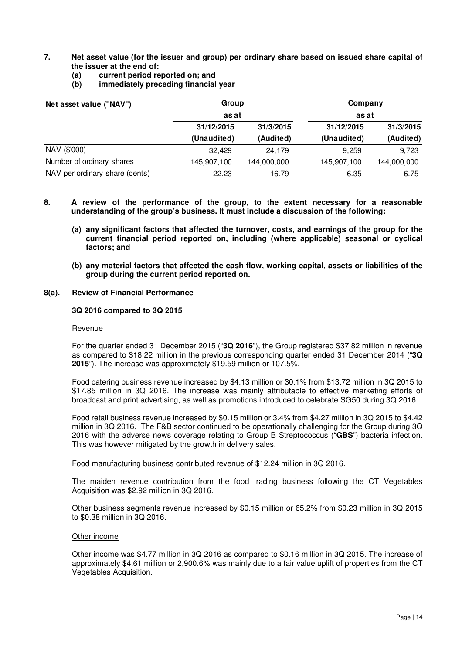# **7. Net asset value (for the issuer and group) per ordinary share based on issued share capital of the issuer at the end of:**

- **(a) current period reported on; and**
- **(b) immediately preceding financial year**

| Net asset value ("NAV")        | Group<br>as at |             | Company<br>as at |             |
|--------------------------------|----------------|-------------|------------------|-------------|
|                                |                |             |                  |             |
|                                | (Audited)      |             |                  |             |
|                                | NAV (\$'000)   | 32.429      | 24.179           | 9.259       |
| Number of ordinary shares      | 145,907,100    | 144,000,000 | 145,907,100      | 144,000,000 |
| NAV per ordinary share (cents) | 22.23          | 16.79       | 6.35             | 6.75        |

- **8. A review of the performance of the group, to the extent necessary for a reasonable understanding of the group's business. It must include a discussion of the following:** 
	- **(a) any significant factors that affected the turnover, costs, and earnings of the group for the current financial period reported on, including (where applicable) seasonal or cyclical factors; and**
	- **(b) any material factors that affected the cash flow, working capital, assets or liabilities of the group during the current period reported on.**

# **8(a). Review of Financial Performance**

# **3Q 2016 compared to 3Q 2015**

#### Revenue

For the quarter ended 31 December 2015 ("**3Q 2016**"), the Group registered \$37.82 million in revenue as compared to \$18.22 million in the previous corresponding quarter ended 31 December 2014 ("**3Q 2015**"). The increase was approximately \$19.59 million or 107.5%.

Food catering business revenue increased by \$4.13 million or 30.1% from \$13.72 million in 3Q 2015 to \$17.85 million in 3Q 2016. The increase was mainly attributable to effective marketing efforts of broadcast and print advertising, as well as promotions introduced to celebrate SG50 during 3Q 2016.

Food retail business revenue increased by \$0.15 million or 3.4% from \$4.27 million in 3Q 2015 to \$4.42 million in 3Q 2016. The F&B sector continued to be operationally challenging for the Group during 3Q 2016 with the adverse news coverage relating to Group B Streptococcus ("**GBS**") bacteria infection. This was however mitigated by the growth in delivery sales.

Food manufacturing business contributed revenue of \$12.24 million in 3Q 2016.

The maiden revenue contribution from the food trading business following the CT Vegetables Acquisition was \$2.92 million in 3Q 2016.

Other business segments revenue increased by \$0.15 million or 65.2% from \$0.23 million in 3Q 2015 to \$0.38 million in 3Q 2016.

### Other income

Other income was \$4.77 million in 3Q 2016 as compared to \$0.16 million in 3Q 2015. The increase of approximately \$4.61 million or 2,900.6% was mainly due to a fair value uplift of properties from the CT Vegetables Acquisition.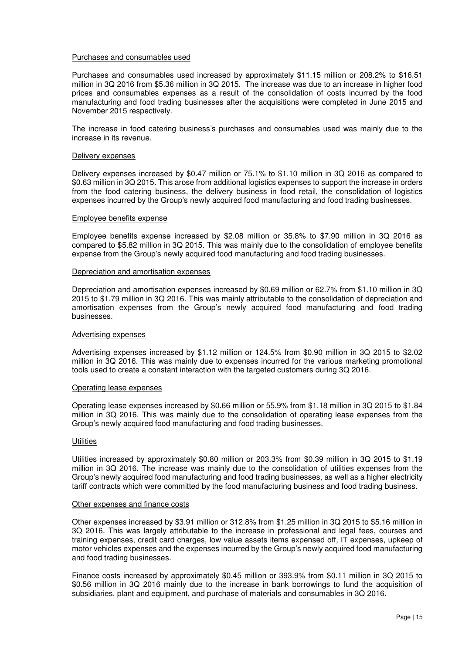### Purchases and consumables used

Purchases and consumables used increased by approximately \$11.15 million or 208.2% to \$16.51 million in 3Q 2016 from \$5.36 million in 3Q 2015. The increase was due to an increase in higher food prices and consumables expenses as a result of the consolidation of costs incurred by the food manufacturing and food trading businesses after the acquisitions were completed in June 2015 and November 2015 respectively.

The increase in food catering business's purchases and consumables used was mainly due to the increase in its revenue.

#### Delivery expenses

Delivery expenses increased by \$0.47 million or 75.1% to \$1.10 million in 3Q 2016 as compared to \$0.63 million in 3Q 2015. This arose from additional logistics expenses to support the increase in orders from the food catering business, the delivery business in food retail, the consolidation of logistics expenses incurred by the Group's newly acquired food manufacturing and food trading businesses.

#### Employee benefits expense

Employee benefits expense increased by \$2.08 million or 35.8% to \$7.90 million in 3Q 2016 as compared to \$5.82 million in 3Q 2015. This was mainly due to the consolidation of employee benefits expense from the Group's newly acquired food manufacturing and food trading businesses.

#### Depreciation and amortisation expenses

Depreciation and amortisation expenses increased by \$0.69 million or 62.7% from \$1.10 million in 3Q 2015 to \$1.79 million in 3Q 2016. This was mainly attributable to the consolidation of depreciation and amortisation expenses from the Group's newly acquired food manufacturing and food trading businesses.

#### Advertising expenses

Advertising expenses increased by \$1.12 million or 124.5% from \$0.90 million in 3Q 2015 to \$2.02 million in 3Q 2016. This was mainly due to expenses incurred for the various marketing promotional tools used to create a constant interaction with the targeted customers during 3Q 2016.

#### Operating lease expenses

Operating lease expenses increased by \$0.66 million or 55.9% from \$1.18 million in 3Q 2015 to \$1.84 million in 3Q 2016. This was mainly due to the consolidation of operating lease expenses from the Group's newly acquired food manufacturing and food trading businesses.

#### **Utilities**

Utilities increased by approximately \$0.80 million or 203.3% from \$0.39 million in 3Q 2015 to \$1.19 million in 3Q 2016. The increase was mainly due to the consolidation of utilities expenses from the Group's newly acquired food manufacturing and food trading businesses, as well as a higher electricity tariff contracts which were committed by the food manufacturing business and food trading business.

#### Other expenses and finance costs

Other expenses increased by \$3.91 million or 312.8% from \$1.25 million in 3Q 2015 to \$5.16 million in 3Q 2016. This was largely attributable to the increase in professional and legal fees, courses and training expenses, credit card charges, low value assets items expensed off, IT expenses, upkeep of motor vehicles expenses and the expenses incurred by the Group's newly acquired food manufacturing and food trading businesses.

Finance costs increased by approximately \$0.45 million or 393.9% from \$0.11 million in 3Q 2015 to \$0.56 million in 3Q 2016 mainly due to the increase in bank borrowings to fund the acquisition of subsidiaries, plant and equipment, and purchase of materials and consumables in 3Q 2016.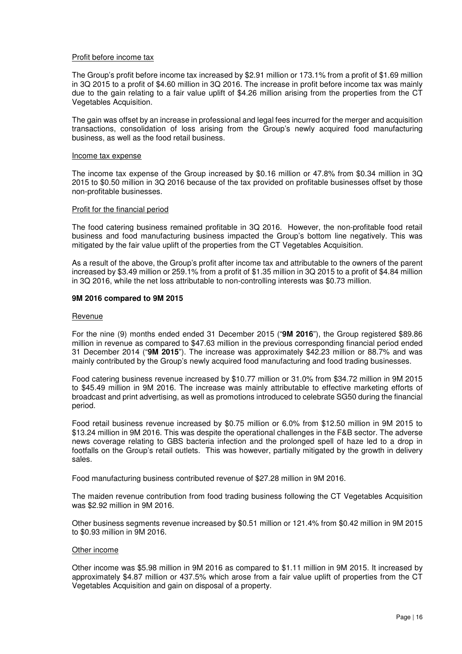## Profit before income tax

The Group's profit before income tax increased by \$2.91 million or 173.1% from a profit of \$1.69 million in 3Q 2015 to a profit of \$4.60 million in 3Q 2016. The increase in profit before income tax was mainly due to the gain relating to a fair value uplift of \$4.26 million arising from the properties from the CT Vegetables Acquisition.

The gain was offset by an increase in professional and legal fees incurred for the merger and acquisition transactions, consolidation of loss arising from the Group's newly acquired food manufacturing business, as well as the food retail business.

### Income tax expense

The income tax expense of the Group increased by \$0.16 million or 47.8% from \$0.34 million in 3Q 2015 to \$0.50 million in 3Q 2016 because of the tax provided on profitable businesses offset by those non-profitable businesses.

### Profit for the financial period

The food catering business remained profitable in 3Q 2016. However, the non-profitable food retail business and food manufacturing business impacted the Group's bottom line negatively. This was mitigated by the fair value uplift of the properties from the CT Vegetables Acquisition.

As a result of the above, the Group's profit after income tax and attributable to the owners of the parent increased by \$3.49 million or 259.1% from a profit of \$1.35 million in 3Q 2015 to a profit of \$4.84 million in 3Q 2016, while the net loss attributable to non-controlling interests was \$0.73 million.

#### **9M 2016 compared to 9M 2015**

#### Revenue

For the nine (9) months ended ended 31 December 2015 ("**9M 2016**"), the Group registered \$89.86 million in revenue as compared to \$47.63 million in the previous corresponding financial period ended 31 December 2014 ("**9M 2015**"). The increase was approximately \$42.23 million or 88.7% and was mainly contributed by the Group's newly acquired food manufacturing and food trading businesses.

Food catering business revenue increased by \$10.77 million or 31.0% from \$34.72 million in 9M 2015 to \$45.49 million in 9M 2016. The increase was mainly attributable to effective marketing efforts of broadcast and print advertising, as well as promotions introduced to celebrate SG50 during the financial period.

Food retail business revenue increased by \$0.75 million or 6.0% from \$12.50 million in 9M 2015 to \$13.24 million in 9M 2016. This was despite the operational challenges in the F&B sector. The adverse news coverage relating to GBS bacteria infection and the prolonged spell of haze led to a drop in footfalls on the Group's retail outlets. This was however, partially mitigated by the growth in delivery sales.

Food manufacturing business contributed revenue of \$27.28 million in 9M 2016.

The maiden revenue contribution from food trading business following the CT Vegetables Acquisition was \$2.92 million in 9M 2016.

Other business segments revenue increased by \$0.51 million or 121.4% from \$0.42 million in 9M 2015 to \$0.93 million in 9M 2016.

#### Other income

Other income was \$5.98 million in 9M 2016 as compared to \$1.11 million in 9M 2015. It increased by approximately \$4.87 million or 437.5% which arose from a fair value uplift of properties from the CT Vegetables Acquisition and gain on disposal of a property.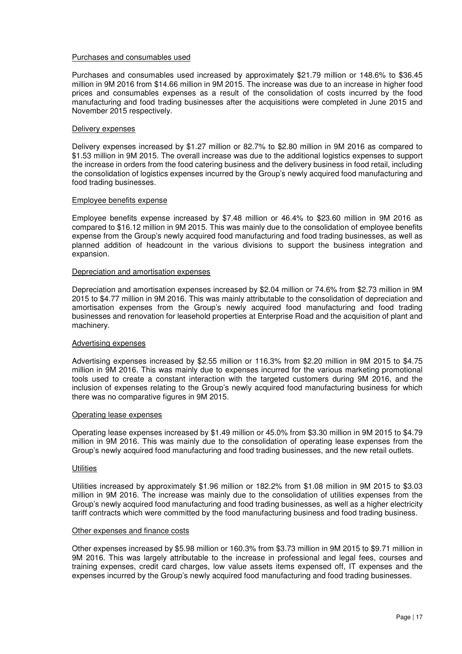### Purchases and consumables used

Purchases and consumables used increased by approximately \$21.79 million or 148.6% to \$36.45 million in 9M 2016 from \$14.66 million in 9M 2015. The increase was due to an increase in higher food prices and consumables expenses as a result of the consolidation of costs incurred by the food manufacturing and food trading businesses after the acquisitions were completed in June 2015 and November 2015 respectively.

### Delivery expenses

Delivery expenses increased by \$1.27 million or 82.7% to \$2.80 million in 9M 2016 as compared to \$1.53 million in 9M 2015. The overall increase was due to the additional logistics expenses to support the increase in orders from the food catering business and the delivery business in food retail, including the consolidation of logistics expenses incurred by the Group's newly acquired food manufacturing and food trading businesses.

### Employee benefits expense

Employee benefits expense increased by \$7.48 million or 46.4% to \$23.60 million in 9M 2016 as compared to \$16.12 million in 9M 2015. This was mainly due to the consolidation of employee benefits expense from the Group's newly acquired food manufacturing and food trading businesses, as well as planned addition of headcount in the various divisions to support the business integration and expansion.

#### Depreciation and amortisation expenses

Depreciation and amortisation expenses increased by \$2.04 million or 74.6% from \$2.73 million in 9M 2015 to \$4.77 million in 9M 2016. This was mainly attributable to the consolidation of depreciation and amortisation expenses from the Group's newly acquired food manufacturing and food trading businesses and renovation for leasehold properties at Enterprise Road and the acquisition of plant and machinery.

### Advertising expenses

Advertising expenses increased by \$2.55 million or 116.3% from \$2.20 million in 9M 2015 to \$4.75 million in 9M 2016. This was mainly due to expenses incurred for the various marketing promotional tools used to create a constant interaction with the targeted customers during 9M 2016, and the inclusion of expenses relating to the Group's newly acquired food manufacturing business for which there was no comparative figures in 9M 2015.

#### Operating lease expenses

Operating lease expenses increased by \$1.49 million or 45.0% from \$3.30 million in 9M 2015 to \$4.79 million in 9M 2016. This was mainly due to the consolidation of operating lease expenses from the Group's newly acquired food manufacturing and food trading businesses, and the new retail outlets.

### **Utilities**

Utilities increased by approximately \$1.96 million or 182.2% from \$1.08 million in 9M 2015 to \$3.03 million in 9M 2016. The increase was mainly due to the consolidation of utilities expenses from the Group's newly acquired food manufacturing and food trading businesses, as well as a higher electricity tariff contracts which were committed by the food manufacturing business and food trading business.

### Other expenses and finance costs

Other expenses increased by \$5.98 million or 160.3% from \$3.73 million in 9M 2015 to \$9.71 million in 9M 2016. This was largely attributable to the increase in professional and legal fees, courses and training expenses, credit card charges, low value assets items expensed off, IT expenses and the expenses incurred by the Group's newly acquired food manufacturing and food trading businesses.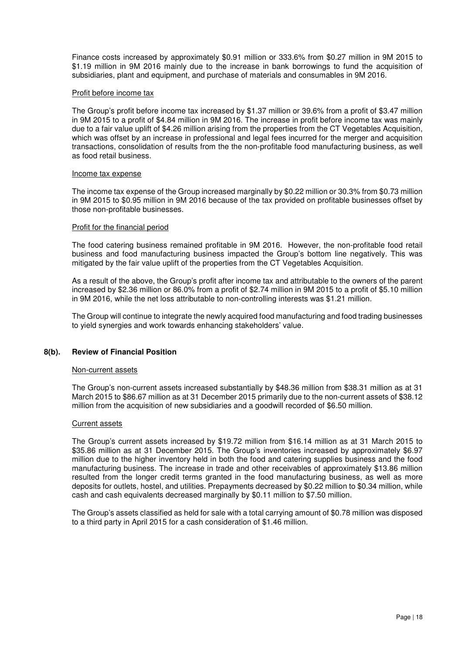Finance costs increased by approximately \$0.91 million or 333.6% from \$0.27 million in 9M 2015 to \$1.19 million in 9M 2016 mainly due to the increase in bank borrowings to fund the acquisition of subsidiaries, plant and equipment, and purchase of materials and consumables in 9M 2016.

# Profit before income tax

The Group's profit before income tax increased by \$1.37 million or 39.6% from a profit of \$3.47 million in 9M 2015 to a profit of \$4.84 million in 9M 2016. The increase in profit before income tax was mainly due to a fair value uplift of \$4.26 million arising from the properties from the CT Vegetables Acquisition, which was offset by an increase in professional and legal fees incurred for the merger and acquisition transactions, consolidation of results from the the non-profitable food manufacturing business, as well as food retail business.

#### Income tax expense

The income tax expense of the Group increased marginally by \$0.22 million or 30.3% from \$0.73 million in 9M 2015 to \$0.95 million in 9M 2016 because of the tax provided on profitable businesses offset by those non-profitable businesses.

### Profit for the financial period

The food catering business remained profitable in 9M 2016. However, the non-profitable food retail business and food manufacturing business impacted the Group's bottom line negatively. This was mitigated by the fair value uplift of the properties from the CT Vegetables Acquisition.

As a result of the above, the Group's profit after income tax and attributable to the owners of the parent increased by \$2.36 million or 86.0% from a profit of \$2.74 million in 9M 2015 to a profit of \$5.10 million in 9M 2016, while the net loss attributable to non-controlling interests was \$1.21 million.

The Group will continue to integrate the newly acquired food manufacturing and food trading businesses to yield synergies and work towards enhancing stakeholders' value.

# **8(b). Review of Financial Position**

### Non-current assets

The Group's non-current assets increased substantially by \$48.36 million from \$38.31 million as at 31 March 2015 to \$86.67 million as at 31 December 2015 primarily due to the non-current assets of \$38.12 million from the acquisition of new subsidiaries and a goodwill recorded of \$6.50 million.

### Current assets

The Group's current assets increased by \$19.72 million from \$16.14 million as at 31 March 2015 to \$35.86 million as at 31 December 2015. The Group's inventories increased by approximately \$6.97 million due to the higher inventory held in both the food and catering supplies business and the food manufacturing business. The increase in trade and other receivables of approximately \$13.86 million resulted from the longer credit terms granted in the food manufacturing business, as well as more deposits for outlets, hostel, and utilities. Prepayments decreased by \$0.22 million to \$0.34 million, while cash and cash equivalents decreased marginally by \$0.11 million to \$7.50 million.

The Group's assets classified as held for sale with a total carrying amount of \$0.78 million was disposed to a third party in April 2015 for a cash consideration of \$1.46 million.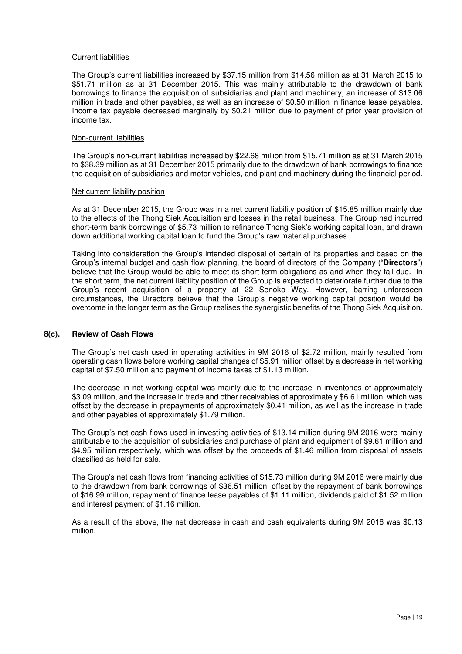# Current liabilities

The Group's current liabilities increased by \$37.15 million from \$14.56 million as at 31 March 2015 to \$51.71 million as at 31 December 2015. This was mainly attributable to the drawdown of bank borrowings to finance the acquisition of subsidiaries and plant and machinery, an increase of \$13.06 million in trade and other payables, as well as an increase of \$0.50 million in finance lease payables. Income tax payable decreased marginally by \$0.21 million due to payment of prior year provision of income tax.

# Non-current liabilities

The Group's non-current liabilities increased by \$22.68 million from \$15.71 million as at 31 March 2015 to \$38.39 million as at 31 December 2015 primarily due to the drawdown of bank borrowings to finance the acquisition of subsidiaries and motor vehicles, and plant and machinery during the financial period.

### Net current liability position

As at 31 December 2015, the Group was in a net current liability position of \$15.85 million mainly due to the effects of the Thong Siek Acquisition and losses in the retail business. The Group had incurred short-term bank borrowings of \$5.73 million to refinance Thong Siek's working capital loan, and drawn down additional working capital loan to fund the Group's raw material purchases.

Taking into consideration the Group's intended disposal of certain of its properties and based on the Group's internal budget and cash flow planning, the board of directors of the Company ("**Directors**") believe that the Group would be able to meet its short-term obligations as and when they fall due. In the short term, the net current liability position of the Group is expected to deteriorate further due to the Group's recent acquisition of a property at 22 Senoko Way. However, barring unforeseen circumstances, the Directors believe that the Group's negative working capital position would be overcome in the longer term as the Group realises the synergistic benefits of the Thong Siek Acquisition.

# **8(c). Review of Cash Flows**

The Group's net cash used in operating activities in 9M 2016 of \$2.72 million, mainly resulted from operating cash flows before working capital changes of \$5.91 million offset by a decrease in net working capital of \$7.50 million and payment of income taxes of \$1.13 million.

The decrease in net working capital was mainly due to the increase in inventories of approximately \$3.09 million, and the increase in trade and other receivables of approximately \$6.61 million, which was offset by the decrease in prepayments of approximately \$0.41 million, as well as the increase in trade and other payables of approximately \$1.79 million.

The Group's net cash flows used in investing activities of \$13.14 million during 9M 2016 were mainly attributable to the acquisition of subsidiaries and purchase of plant and equipment of \$9.61 million and \$4.95 million respectively, which was offset by the proceeds of \$1.46 million from disposal of assets classified as held for sale.

The Group's net cash flows from financing activities of \$15.73 million during 9M 2016 were mainly due to the drawdown from bank borrowings of \$36.51 million, offset by the repayment of bank borrowings of \$16.99 million, repayment of finance lease payables of \$1.11 million, dividends paid of \$1.52 million and interest payment of \$1.16 million.

As a result of the above, the net decrease in cash and cash equivalents during 9M 2016 was \$0.13 million.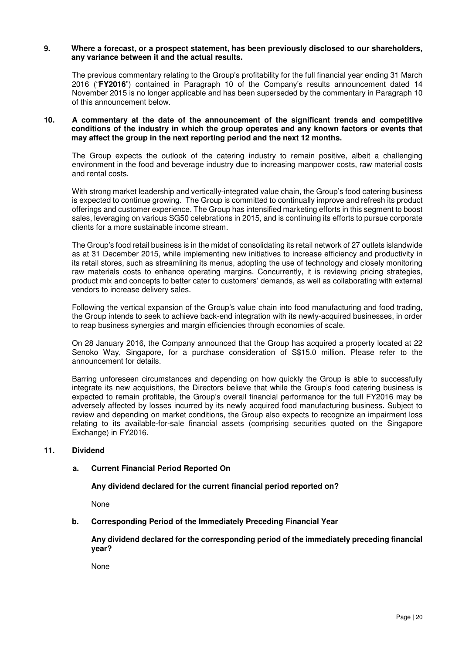### **9. Where a forecast, or a prospect statement, has been previously disclosed to our shareholders, any variance between it and the actual results.**

The previous commentary relating to the Group's profitability for the full financial year ending 31 March 2016 ("**FY2016**") contained in Paragraph 10 of the Company's results announcement dated 14 November 2015 is no longer applicable and has been superseded by the commentary in Paragraph 10 of this announcement below.

# **10. A commentary at the date of the announcement of the significant trends and competitive conditions of the industry in which the group operates and any known factors or events that may affect the group in the next reporting period and the next 12 months.**

The Group expects the outlook of the catering industry to remain positive, albeit a challenging environment in the food and beverage industry due to increasing manpower costs, raw material costs and rental costs.

With strong market leadership and vertically-integrated value chain, the Group's food catering business is expected to continue growing. The Group is committed to continually improve and refresh its product offerings and customer experience. The Group has intensified marketing efforts in this segment to boost sales, leveraging on various SG50 celebrations in 2015, and is continuing its efforts to pursue corporate clients for a more sustainable income stream.

The Group's food retail business is in the midst of consolidating its retail network of 27 outlets islandwide as at 31 December 2015, while implementing new initiatives to increase efficiency and productivity in its retail stores, such as streamlining its menus, adopting the use of technology and closely monitoring raw materials costs to enhance operating margins. Concurrently, it is reviewing pricing strategies, product mix and concepts to better cater to customers' demands, as well as collaborating with external vendors to increase delivery sales.

Following the vertical expansion of the Group's value chain into food manufacturing and food trading, the Group intends to seek to achieve back-end integration with its newly-acquired businesses, in order to reap business synergies and margin efficiencies through economies of scale.

On 28 January 2016, the Company announced that the Group has acquired a property located at 22 Senoko Way, Singapore, for a purchase consideration of S\$15.0 million. Please refer to the announcement for details.

Barring unforeseen circumstances and depending on how quickly the Group is able to successfully integrate its new acquisitions, the Directors believe that while the Group's food catering business is expected to remain profitable, the Group's overall financial performance for the full FY2016 may be adversely affected by losses incurred by its newly acquired food manufacturing business. Subject to review and depending on market conditions, the Group also expects to recognize an impairment loss relating to its available-for-sale financial assets (comprising securities quoted on the Singapore Exchange) in FY2016.

# **11. Dividend**

# **a. Current Financial Period Reported On**

# **Any dividend declared for the current financial period reported on?**

None

# **b. Corresponding Period of the Immediately Preceding Financial Year**

# **Any dividend declared for the corresponding period of the immediately preceding financial year?**

None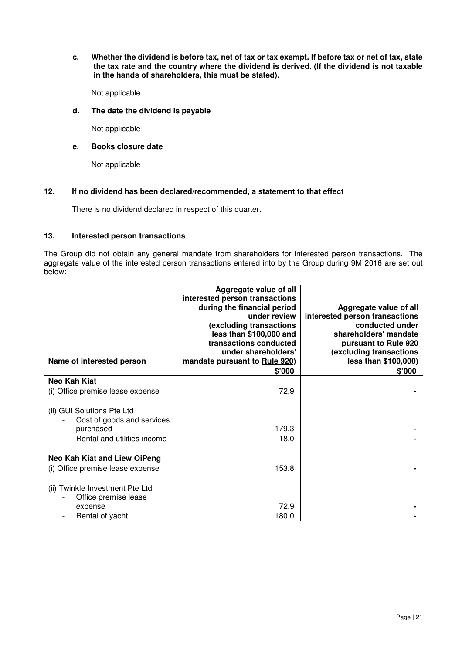**c. Whether the dividend is before tax, net of tax or tax exempt. If before tax or net of tax, state the tax rate and the country where the dividend is derived. (If the dividend is not taxable in the hands of shareholders, this must be stated).**

Not applicable

# **d. The date the dividend is payable**

Not applicable

# **e. Books closure date**

Not applicable

# **12. If no dividend has been declared/recommended, a statement to that effect**

There is no dividend declared in respect of this quarter.

# **13. Interested person transactions**

The Group did not obtain any general mandate from shareholders for interested person transactions. The aggregate value of the interested person transactions entered into by the Group during 9M 2016 are set out below:

| Name of interested person                                | Aggregate value of all<br>interested person transactions<br>during the financial period<br>under review<br>(excluding transactions<br>less than \$100,000 and<br>transactions conducted<br>under shareholders'<br>mandate pursuant to Rule 920)<br>\$'000 | Aggregate value of all<br>interested person transactions<br>conducted under<br>shareholders' mandate<br>pursuant to Rule 920<br>(excluding transactions<br>less than \$100,000)<br>\$'000 |
|----------------------------------------------------------|-----------------------------------------------------------------------------------------------------------------------------------------------------------------------------------------------------------------------------------------------------------|-------------------------------------------------------------------------------------------------------------------------------------------------------------------------------------------|
| Neo Kah Kiat                                             |                                                                                                                                                                                                                                                           |                                                                                                                                                                                           |
| (i) Office premise lease expense                         | 72.9                                                                                                                                                                                                                                                      |                                                                                                                                                                                           |
| (ii) GUI Solutions Pte Ltd<br>Cost of goods and services |                                                                                                                                                                                                                                                           |                                                                                                                                                                                           |
| purchased                                                | 179.3                                                                                                                                                                                                                                                     |                                                                                                                                                                                           |
| Rental and utilities income                              | 18.0                                                                                                                                                                                                                                                      |                                                                                                                                                                                           |
| Neo Kah Kiat and Liew OiPeng                             |                                                                                                                                                                                                                                                           |                                                                                                                                                                                           |
| (i) Office premise lease expense                         | 153.8                                                                                                                                                                                                                                                     |                                                                                                                                                                                           |
| (ii) Twinkle Investment Pte Ltd<br>Office premise lease  |                                                                                                                                                                                                                                                           |                                                                                                                                                                                           |
| expense                                                  | 72.9                                                                                                                                                                                                                                                      |                                                                                                                                                                                           |
| Rental of yacht                                          | 180.0                                                                                                                                                                                                                                                     |                                                                                                                                                                                           |